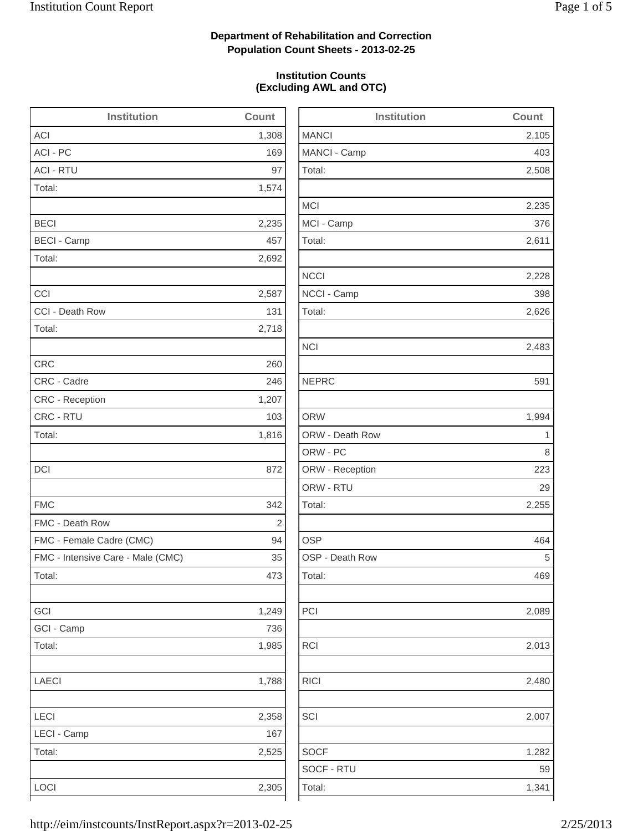2,105

2,508

2,235

2,626

2,255

2,013

RICI 2,480

1,282

## **Department of Rehabilitation and Correction Population Count Sheets - 2013-02-25**

## **Institution Counts (Excluding AWL and OTC)**

| <b>Institution</b>                | Count          | Institution     | Count |
|-----------------------------------|----------------|-----------------|-------|
| ACI                               | 1,308          | <b>MANCI</b>    | 2,105 |
| ACI - PC                          | 169            | MANCI - Camp    | 403   |
| <b>ACI - RTU</b>                  | 97             | Total:          | 2,508 |
| Total:                            | 1,574          |                 |       |
|                                   |                | <b>MCI</b>      | 2,235 |
| <b>BECI</b>                       | 2,235          | MCI - Camp      | 376   |
| <b>BECI - Camp</b>                | 457            | Total:          | 2,611 |
| Total:                            | 2,692          |                 |       |
|                                   |                | <b>NCCI</b>     | 2,228 |
| CCI                               | 2,587          | NCCI - Camp     | 398   |
| CCI - Death Row                   | 131            | Total:          | 2,626 |
| Total:                            | 2,718          |                 |       |
|                                   |                | <b>NCI</b>      | 2,483 |
| <b>CRC</b>                        | 260            |                 |       |
| CRC - Cadre                       | 246            | <b>NEPRC</b>    | 591   |
| CRC - Reception                   | 1,207          |                 |       |
| CRC - RTU                         | 103            | <b>ORW</b>      | 1,994 |
| Total:                            | 1,816          | ORW - Death Row | 1     |
|                                   |                | ORW - PC        | 8     |
| DCI                               | 872            | ORW - Reception | 223   |
|                                   |                | ORW - RTU       | 29    |
| <b>FMC</b>                        | 342            | Total:          | 2,255 |
| FMC - Death Row                   | $\overline{2}$ |                 |       |
| FMC - Female Cadre (CMC)          | 94             | <b>OSP</b>      | 464   |
| FMC - Intensive Care - Male (CMC) | 35             | OSP - Death Row | 5     |
| Total:                            | 473            | Total:          | 469   |
| GCI                               | 1,249          | PCI             | 2,089 |
| GCI - Camp                        | 736            |                 |       |
| Total:                            | 1,985          | <b>RCI</b>      | 2,013 |
| LAECI                             | 1,788          | <b>RICI</b>     | 2,480 |
| LECI                              | 2,358          | SCI             | 2,007 |
| LECI - Camp                       | 167            |                 |       |
| Total:                            | 2,525          | <b>SOCF</b>     | 1,282 |
|                                   |                | SOCF - RTU      | 59    |
| LOCI                              | 2,305          | Total:          | 1,341 |
|                                   |                |                 |       |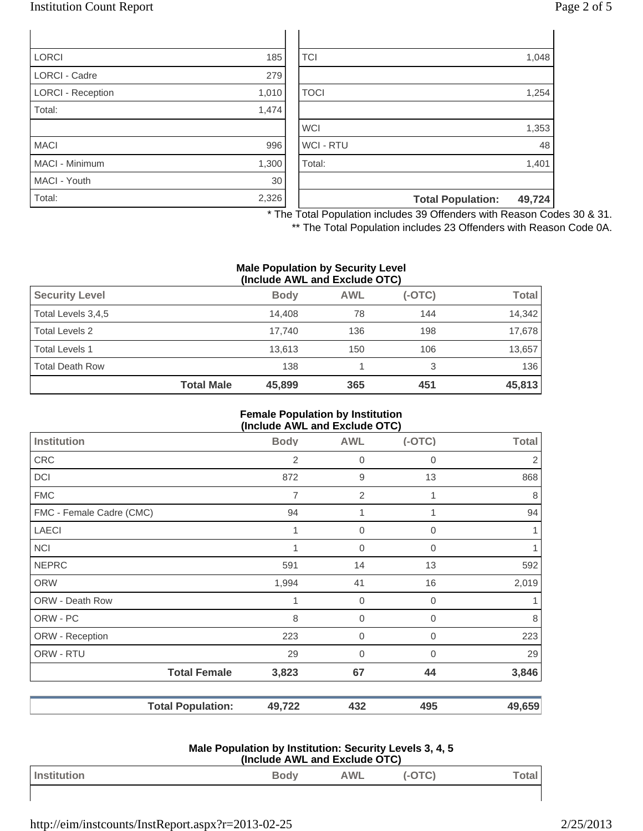## Institution Count Report

| Page 2 of 5 |  |  |  |
|-------------|--|--|--|
|-------------|--|--|--|

| <b>LORCI</b>             | 185   | <b>TCI</b>       |                          | 1,048  |
|--------------------------|-------|------------------|--------------------------|--------|
| <b>LORCI - Cadre</b>     | 279   |                  |                          |        |
| <b>LORCI - Reception</b> | 1,010 | <b>TOCI</b>      |                          | 1,254  |
| Total:                   | 1,474 |                  |                          |        |
|                          |       | <b>WCI</b>       |                          | 1,353  |
| <b>MACI</b>              | 996   | <b>WCI - RTU</b> |                          | 48     |
| <b>MACI - Minimum</b>    | 1,300 | Total:           |                          | 1,401  |
| MACI - Youth             | 30    |                  |                          |        |
| Total:                   | 2,326 |                  | <b>Total Population:</b> | 49,724 |

\* The Total Population includes 39 Offenders with Reason Codes 30 & 31.

\*\* The Total Population includes 23 Offenders with Reason Code 0A.

### **Male Population by Security Level (Include AWL and Exclude OTC)**

| <b>Security Level</b>  |                   | <b>Body</b> | <b>AWL</b> | $(-OTC)$ | Total  |
|------------------------|-------------------|-------------|------------|----------|--------|
| Total Levels 3,4,5     |                   | 14.408      | 78         | 144      | 14,342 |
| Total Levels 2         |                   | 17.740      | 136        | 198      | 17,678 |
| <b>Total Levels 1</b>  |                   | 13.613      | 150        | 106      | 13,657 |
| <b>Total Death Row</b> |                   | 138         |            | 3        | 136    |
|                        | <b>Total Male</b> | 45,899      | 365        | 451      | 45,813 |

#### **Female Population by Institution (Include AWL and Exclude OTC)**

|                          | ,……          |                  | <i>.</i>    |                |
|--------------------------|--------------|------------------|-------------|----------------|
| Institution              | <b>Body</b>  | <b>AWL</b>       | $(-OTC)$    | <b>Total</b>   |
| <b>CRC</b>               | 2            | $\boldsymbol{0}$ | $\mathbf 0$ | $\overline{2}$ |
| DCI                      | 872          | 9                | 13          | 868            |
| <b>FMC</b>               | 7            | $\overline{2}$   |             | 8              |
| FMC - Female Cadre (CMC) | 94           | 1                |             | 94             |
| <b>LAECI</b>             | $\mathbf{1}$ | $\overline{0}$   | $\Omega$    | $\mathbf{1}$   |
| <b>NCI</b>               |              | $\mathbf 0$      | 0           |                |
| <b>NEPRC</b>             | 591          | 14               | 13          | 592            |
| <b>ORW</b>               | 1,994        | 41               | 16          | 2,019          |
| ORW - Death Row          | 1            | $\mathbf 0$      | 0           |                |
| ORW - PC                 | 8            | $\boldsymbol{0}$ | $\Omega$    | 8              |
| ORW - Reception          | 223          | $\mathbf 0$      | $\Omega$    | 223            |
| ORW - RTU                | 29           | $\mathbf 0$      | 0           | 29             |
| <b>Total Female</b>      | 3,823        | 67               | 44          | 3,846          |
| <b>Total Population:</b> | 49,722       | 432              | 495         | 49,659         |

#### **Male Population by Institution: Security Levels 3, 4, 5 (Include AWL and Exclude OTC)**

| Institution | <b>Body</b> | <b>AWL</b> | ັ | otal |
|-------------|-------------|------------|---|------|
|             |             |            |   |      |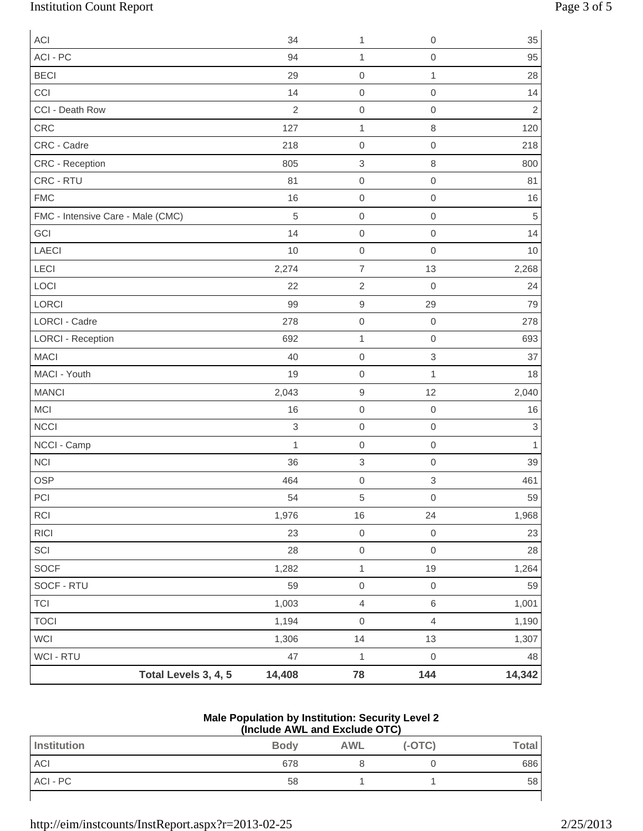# Institution Count Report Page 3 of 5

| <b>ACI</b>                        |                      | 34                        | 1                   | $\mathbf 0$               | 35             |
|-----------------------------------|----------------------|---------------------------|---------------------|---------------------------|----------------|
| ACI - PC                          |                      | 94                        | 1                   | $\mathbf 0$               | 95             |
| <b>BECI</b>                       |                      | 29                        | $\mathsf 0$         | $\mathbf{1}$              | 28             |
| CCI                               |                      | 14                        | $\mathsf{O}\xspace$ | $\mathbf 0$               | 14             |
| CCI - Death Row                   |                      | $\overline{2}$            | $\mathsf{O}\xspace$ | $\mathbf 0$               | $\overline{c}$ |
| CRC                               |                      | 127                       | $\mathbf 1$         | $\,8\,$                   | 120            |
| CRC - Cadre                       |                      | 218                       | $\mathsf{O}\xspace$ | $\mathbf 0$               | 218            |
| CRC - Reception                   |                      | 805                       | $\,$ 3 $\,$         | $\,8\,$                   | 800            |
| CRC - RTU                         |                      | 81                        | $\mathsf{O}\xspace$ | $\mathbf 0$               | 81             |
| <b>FMC</b>                        |                      | 16                        | $\mathsf{O}\xspace$ | $\mathbf 0$               | 16             |
| FMC - Intensive Care - Male (CMC) |                      | 5                         | $\boldsymbol{0}$    | $\mathbf 0$               | 5              |
| GCI                               |                      | 14                        | $\mathsf 0$         | $\mathbf 0$               | 14             |
| LAECI                             |                      | 10                        | $\boldsymbol{0}$    | $\mathbf 0$               | 10             |
| LECI                              |                      | 2,274                     | $\overline{7}$      | 13                        | 2,268          |
| LOCI                              |                      | 22                        | $\overline{2}$      | $\mathbf 0$               | 24             |
| LORCI                             |                      | 99                        | 9                   | 29                        | 79             |
| <b>LORCI - Cadre</b>              |                      | 278                       | $\mathsf 0$         | $\boldsymbol{0}$          | 278            |
| <b>LORCI - Reception</b>          |                      | 692                       | $\mathbf 1$         | $\mathbf 0$               | 693            |
| <b>MACI</b>                       |                      | 40                        | $\mathsf 0$         | $\ensuremath{\mathsf{3}}$ | 37             |
| MACI - Youth                      |                      | 19                        | $\mathsf 0$         | $\mathbf{1}$              | 18             |
| <b>MANCI</b>                      |                      | 2,043                     | $\boldsymbol{9}$    | 12                        | 2,040          |
| <b>MCI</b>                        |                      | 16                        | $\mathsf 0$         | $\boldsymbol{0}$          | 16             |
| <b>NCCI</b>                       |                      | $\ensuremath{\mathsf{3}}$ | $\mathsf{O}\xspace$ | $\boldsymbol{0}$          | 3              |
| NCCI - Camp                       |                      | $\mathbf{1}$              | $\mathsf 0$         | $\boldsymbol{0}$          | 1              |
| <b>NCI</b>                        |                      | 36                        | $\,$ 3 $\,$         | $\mathbf 0$               | 39             |
| <b>OSP</b>                        |                      | 464                       | $\mathsf{O}\xspace$ | $\ensuremath{\mathsf{3}}$ | 461            |
| $\sf{PCI}$                        |                      | 54                        | $\,$ 5 $\,$         | $\mathsf{O}\xspace$       | 59             |
| RCI                               |                      | 1,976                     | 16                  | 24                        | 1,968          |
| RICI                              |                      | 23                        | $\mathsf{O}\xspace$ | $\mbox{O}$                | 23             |
| SCI                               |                      | 28                        | $\mathsf{O}\xspace$ | $\mathbf 0$               | 28             |
| SOCF                              |                      | 1,282                     | $\mathbf{1}$        | 19                        | 1,264          |
| SOCF - RTU                        |                      | 59                        | $\mathsf{O}\xspace$ | $\mbox{O}$                | 59             |
| <b>TCI</b>                        |                      | 1,003                     | $\overline{4}$      | $\,6\,$                   | 1,001          |
| <b>TOCI</b>                       |                      | 1,194                     | $\mathsf{O}\xspace$ | $\overline{4}$            | 1,190          |
| <b>WCI</b>                        |                      | 1,306                     | 14                  | 13                        | 1,307          |
| WCI - RTU                         |                      | 47                        | $\mathbf{1}$        | $\mbox{O}$                | 48             |
|                                   | Total Levels 3, 4, 5 | 14,408                    | 78                  | 144                       | 14,342         |

### **Male Population by Institution: Security Level 2 (Include AWL and Exclude OTC)**

| $\frac{1}{2}$ |             |            |          |              |
|---------------|-------------|------------|----------|--------------|
| Institution   | <b>Body</b> | <b>AWL</b> | $(-OTC)$ | <b>Total</b> |
| <b>ACI</b>    | 678         |            |          | 686          |
| ACI - PC      | 58          |            |          | 58           |
|               |             |            |          |              |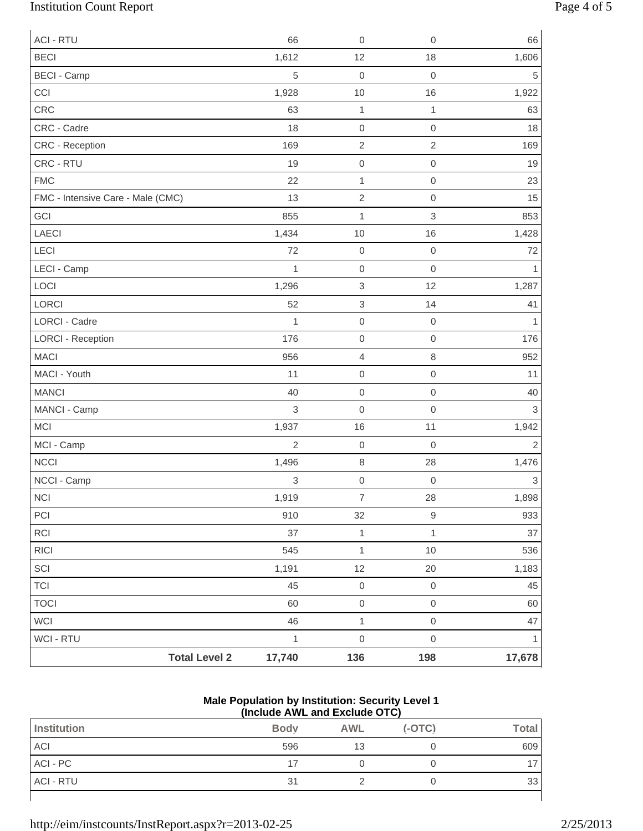# Institution Count Report Page 4 of 5

| <b>ACI - RTU</b>                  | 66             | $\mathbf 0$               | $\boldsymbol{0}$ | 66           |
|-----------------------------------|----------------|---------------------------|------------------|--------------|
| <b>BECI</b>                       | 1,612          | 12                        | 18               | 1,606        |
| <b>BECI</b> - Camp                | 5              | $\mathbf 0$               | $\mathbf 0$      | 5            |
| CCI                               | 1,928          | $10$                      | 16               | 1,922        |
| CRC                               | 63             | $\mathbf{1}$              | 1                | 63           |
| CRC - Cadre                       | 18             | $\mathbf 0$               | $\boldsymbol{0}$ | 18           |
| CRC - Reception                   | 169            | $\overline{2}$            | $\sqrt{2}$       | 169          |
| CRC - RTU                         | 19             | $\mbox{O}$                | $\boldsymbol{0}$ | 19           |
| <b>FMC</b>                        | 22             | $\mathbf{1}$              | $\boldsymbol{0}$ | 23           |
| FMC - Intensive Care - Male (CMC) | 13             | $\sqrt{2}$                | $\boldsymbol{0}$ | 15           |
| GCI                               | 855            | $\mathbf 1$               | $\sqrt{3}$       | 853          |
| LAECI                             | 1,434          | 10                        | 16               | 1,428        |
| LECI                              | 72             | $\mbox{O}$                | $\boldsymbol{0}$ | 72           |
| LECI - Camp                       | 1              | $\mbox{O}$                | $\mathbf 0$      | $\mathbf{1}$ |
| LOCI                              | 1,296          | $\ensuremath{\mathsf{3}}$ | 12               | 1,287        |
| LORCI                             | 52             | $\ensuremath{\mathsf{3}}$ | 14               | 41           |
| LORCI - Cadre                     | 1              | $\mathbf 0$               | $\boldsymbol{0}$ | 1            |
| <b>LORCI - Reception</b>          | 176            | $\mbox{O}$                | $\mathbf 0$      | 176          |
| <b>MACI</b>                       | 956            | $\overline{4}$            | $\,8\,$          | 952          |
| MACI - Youth                      | 11             | $\mbox{O}$                | $\boldsymbol{0}$ | 11           |
| <b>MANCI</b>                      | 40             | $\mathbf 0$               | $\boldsymbol{0}$ | 40           |
| MANCI - Camp                      | 3              | $\mbox{O}$                | $\mathbf 0$      | 3            |
| <b>MCI</b>                        | 1,937          | 16                        | 11               | 1,942        |
| MCI - Camp                        | $\overline{2}$ | $\mbox{O}$                | $\mathbf 0$      | $\sqrt{2}$   |
| <b>NCCI</b>                       | 1,496          | $\,8\,$                   | 28               | 1,476        |
| NCCI - Camp                       | 3              | $\mathbf 0$               | $\boldsymbol{0}$ | 3            |
| $\sf NCI$                         | 1,919          | $\overline{7}$            | 28               | 1,898        |
| PCI                               | 910            | 32                        | $\mathsf 9$      | 933          |
| RCI                               | 37             | $\mathbf 1$               | $\mathbf{1}$     | 37           |
| RICI                              | 545            | $\mathbf{1}$              | 10               | 536          |
| SCI                               | 1,191          | 12                        | 20               | 1,183        |
| <b>TCI</b>                        | 45             | $\mathsf{O}\xspace$       | $\boldsymbol{0}$ | 45           |
| <b>TOCI</b>                       | 60             | $\mathbf 0$               | $\mathbf 0$      | 60           |
| WCI                               | 46             | $\mathbf{1}$              | $\boldsymbol{0}$ | 47           |
| WCI - RTU                         | $\mathbf{1}$   | $\mathsf{O}\xspace$       | $\mathbf 0$      | $\mathbf{1}$ |
| <b>Total Level 2</b>              | 17,740         | 136                       | 198              | 17,678       |

### **Male Population by Institution: Security Level 1 (Include AWL and Exclude OTC)**

| Institution      | <b>Body</b> | <b>AWL</b> | $(-OTC)$ | <b>Total</b> |
|------------------|-------------|------------|----------|--------------|
| <b>ACI</b>       | 596         | 13         |          | 609          |
| ACI - PC         |             |            |          |              |
| <b>ACI - RTU</b> | 31          |            |          | 33           |
|                  |             |            |          |              |

http://eim/instcounts/InstReport.aspx?r=2013-02-25 2/25/2013